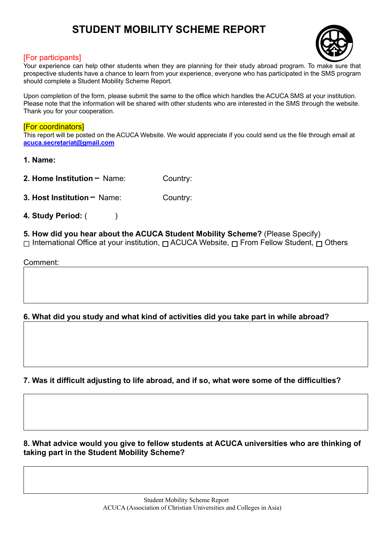# **STUDENT MOBILITY SCHEME REPORT**



### [For participants]

Your experience can help other students when they are planning for their study abroad program. To make sure that prospective students have a chance to learn from your experience, everyone who has participated in the SMS program should complete a Student Mobility Scheme Report.

Upon completion of the form, please submit the same to the office which handles the ACUCA SMS at your institution. Please note that the information will be shared with other students who are interested in the SMS through the website. Thank you for your cooperation.

#### [For coordinators]

This report will be posted on the ACUCA Website. We would appreciate if you could send us the file through email at **acuca.secretariat@gmail.com**

**1. Name:** 

**2. Home Institution - Name:** Country:

- **3. Host Institution** Name: Country:
- **4. Study Period:** ( )

# **5. How did you hear about the ACUCA Student Mobility Scheme?** (Please Specify)

<del> $□$  International Office at your institution,  $□$  ACUCA Website,  $□$  From Fellow Student,  $□$  Others</del>

Comment:

## **6. What did you study and what kind of activities did you take part in while abroad?**

## **7. Was it difficult adjusting to life abroad, and if so, what were some of the difficulties?**

**8. What advice would you give to fellow students at ACUCA universities who are thinking of taking part in the Student Mobility Scheme?**